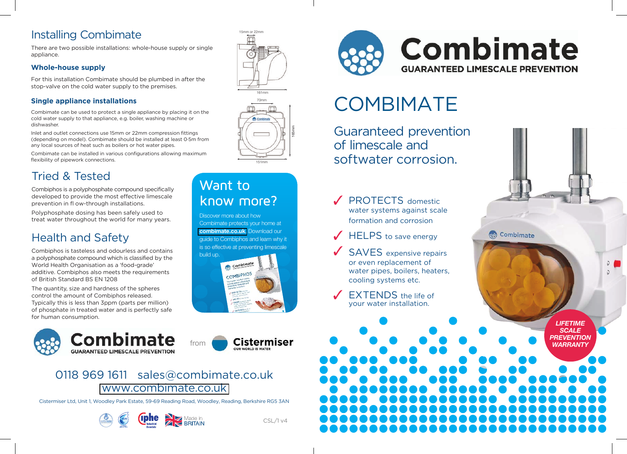## **Installing Combimate**

There are two possible installations: whole-house supply or single appliance.

#### **Whole-house supply**

For this installation Combimate should be plumbed in after the stop-valve on the cold water supply to the premises.

#### **Single appliance installations**

Combimate can be used to protect a single appliance by placing it on the cold water supply to that appliance, e.g. boiler, washing machine or dishwasher

Inlet and outlet connections use 15mm or 22mm compression fittings (depending on model). Combimate should be installed at least 0.5m from any local sources of heat such as boilers or hot water pipes.

Combimate can be installed in various configurations allowing maximum flexibility of pipework connections.

## **Tried & Tested**

Combiphos is a polyphosphate compound specifically developed to provide the most effective limescale prevention in fl ow-through installations.

Polyphosphate dosing has been safely used to treat water throughout the world for many years.

## **Health and Safety**

Combiphos is tasteless and odourless and contains a polyphosphate compound which is classified by the World Health Organisation as a 'food-grade' additive. Combiphos also meets the requirements of British Standard BS EN 1208

The quantity, size and hardness of the spheres control the amount of Combiphos released. Typically this is less than 3ppm (parts per million) of phosphate in treated water and is perfectly safe for human consumption.







## Want to know more?

Discover more about how Combimate protects your home at combimate.co.uk. Download our quide to Combiphos and learn why it is so effective at preventing limescale



**Cistermiser** 



## **COMBIMATE**

Guaranteed prevention of limescale and softwater corrosion.

**PROTECTS** domestic water systems against scale formation and corrosion

- **HELPS** to save energy
- **SAVES** expensive repairs or even replacement of water pipes, boilers, heaters, cooling systems etc.
- **EXTENDS** the life of vour water installation.

**LIFETIME SCALE PREVENTION WARRANTY** 

 $\mathfrak{O}$ 

Combimate



from

Cistermiser Ltd, Unit 1, Woodley Park Estate, 59-69 Reading Road, Woodley, Reading, Berkshire RG5 3AN



 $CSL/1v4$